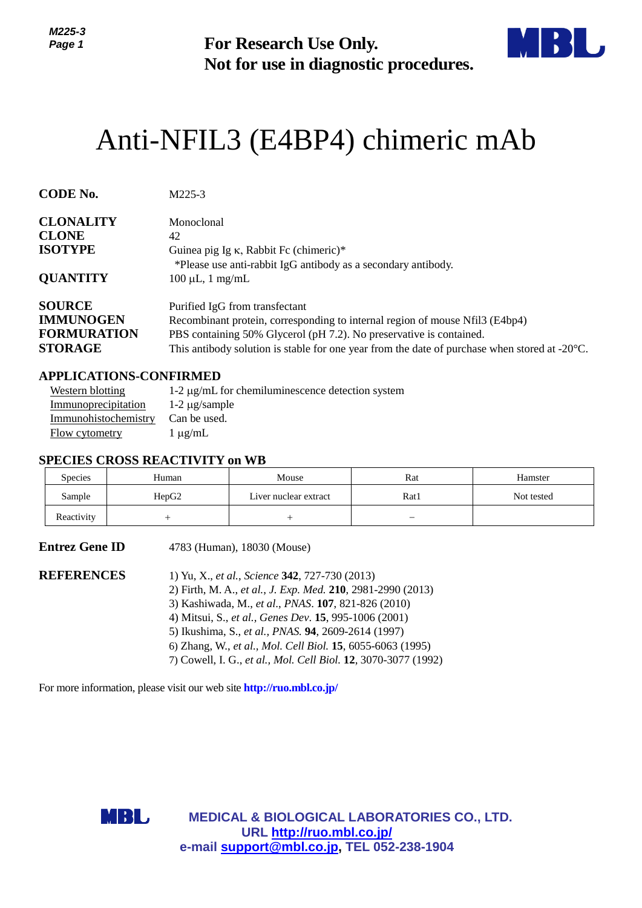

# Anti-NFIL3 (E4BP4) chimeric mAb

| IVILLJ-J<br>Page 1                                                                                                        |                                                     | <b>For Research Use Only.</b><br>Not for use in diagnostic procedures.                                                                                                                                                                                                                                                                                                                                               |      |                                                                                                         |
|---------------------------------------------------------------------------------------------------------------------------|-----------------------------------------------------|----------------------------------------------------------------------------------------------------------------------------------------------------------------------------------------------------------------------------------------------------------------------------------------------------------------------------------------------------------------------------------------------------------------------|------|---------------------------------------------------------------------------------------------------------|
| Anti-NFIL3 (E4BP4) chimeric mAb                                                                                           |                                                     |                                                                                                                                                                                                                                                                                                                                                                                                                      |      |                                                                                                         |
| <b>CODE No.</b>                                                                                                           | M225-3                                              |                                                                                                                                                                                                                                                                                                                                                                                                                      |      |                                                                                                         |
| <b>CLONALITY</b><br><b>CLONE</b><br><b>ISOTYPE</b><br><b>QUANTITY</b>                                                     | Monoclonal<br>42<br>$100 \mu L$ , 1 mg/mL           | Guinea pig Ig $\kappa$ , Rabbit Fc (chimeric)*<br>*Please use anti-rabbit IgG antibody as a secondary antibody.                                                                                                                                                                                                                                                                                                      |      |                                                                                                         |
| <b>SOURCE</b><br><b>IMMUNOGEN</b><br><b>FORMURATION</b><br><b>STORAGE</b>                                                 |                                                     | Purified IgG from transfectant<br>Recombinant protein, corresponding to internal region of mouse Nfil3 (E4bp4)<br>PBS containing 50% Glycerol (pH 7.2). No preservative is contained.                                                                                                                                                                                                                                |      | This antibody solution is stable for one year from the date of purchase when stored at $-20^{\circ}$ C. |
| <b>APPLICATIONS-CONFIRMED</b><br><b>Western blotting</b><br>Immunoprecipitation<br>Immunohistochemistry<br>Flow cytometry | $1-2 \mu g$ /sample<br>Can be used.<br>$1 \mu g/mL$ | 1-2 µg/mL for chemiluminescence detection system                                                                                                                                                                                                                                                                                                                                                                     |      |                                                                                                         |
| <b>SPECIES CROSS REACTIVITY on WB</b><br>Species                                                                          | Human                                               | Mouse                                                                                                                                                                                                                                                                                                                                                                                                                | Rat  | Hamster                                                                                                 |
| Sample                                                                                                                    | HepG <sub>2</sub>                                   | Liver nuclear extract                                                                                                                                                                                                                                                                                                                                                                                                | Rat1 | Not tested                                                                                              |
| Reactivity                                                                                                                |                                                     |                                                                                                                                                                                                                                                                                                                                                                                                                      |      |                                                                                                         |
| <b>Entrez Gene ID</b>                                                                                                     |                                                     | 4783 (Human), 18030 (Mouse)                                                                                                                                                                                                                                                                                                                                                                                          |      |                                                                                                         |
| <b>REFERENCES</b>                                                                                                         |                                                     | 1) Yu, X., et al., Science 342, 727-730 (2013)<br>2) Firth, M. A., et al., J. Exp. Med. 210, 2981-2990 (2013)<br>3) Kashiwada, M., et al., PNAS. 107, 821-826 (2010)<br>4) Mitsui, S., et al., Genes Dev. 15, 995-1006 (2001)<br>5) Ikushima, S., et al., PNAS. 94, 2609-2614 (1997)<br>6) Zhang, W., et al., Mol. Cell Biol. 15, 6055-6063 (1995)<br>7) Cowell, I. G., et al., Mol. Cell Biol. 12, 3070-3077 (1992) |      |                                                                                                         |
| For more information, please visit our web site <b>http://ruo.mbl.co.jp/</b>                                              |                                                     |                                                                                                                                                                                                                                                                                                                                                                                                                      |      |                                                                                                         |
| MBL                                                                                                                       |                                                     | <b>MEDICAL &amp; BIOLOGICAL LABORATORIES CO., LTD.</b><br>URL http://ruo.mbl.co.jp/<br>e-mail support@mbl.co.jp, TEL 052-238-1904                                                                                                                                                                                                                                                                                    |      |                                                                                                         |

## **APPLICATIONS-CONFIRMED**

| Western blotting     | 1-2 $\mu$ g/mL for chemiluminescence detection system |
|----------------------|-------------------------------------------------------|
| Immunoprecipitation  | $1-2 \mu$ g/sample                                    |
| Immunohistochemistry | Can be used.                                          |
| Flow cytometry       | $1 \mu$ g/mL                                          |

## **SPECIES CROSS REACTIVITY on WB**

| <b>Species</b> | Human | Mouse                 | Rat  | Hamster    |
|----------------|-------|-----------------------|------|------------|
| Sample         | HepG2 | Liver nuclear extract | Rat1 | Not tested |
| Reactivity     |       |                       | –    |            |

| <b>Entrez Gene ID</b> | 4783 (Human), 18030 (Mouse)                                                                                                                                                                                                                                                                                                                                                                                          |
|-----------------------|----------------------------------------------------------------------------------------------------------------------------------------------------------------------------------------------------------------------------------------------------------------------------------------------------------------------------------------------------------------------------------------------------------------------|
| <b>REFERENCES</b>     | 1) Yu, X., et al., Science 342, 727-730 (2013)<br>2) Firth, M. A., et al., J. Exp. Med. 210, 2981-2990 (2013)<br>3) Kashiwada, M., et al., PNAS. 107, 821-826 (2010)<br>4) Mitsui, S., et al., Genes Dev. 15, 995-1006 (2001)<br>5) Ikushima, S., et al., PNAS. 94, 2609-2614 (1997)<br>6) Zhang, W., et al., Mol. Cell Biol. 15, 6055-6063 (1995)<br>7) Cowell, I. G., et al., Mol. Cell Biol. 12, 3070-3077 (1992) |
|                       |                                                                                                                                                                                                                                                                                                                                                                                                                      |

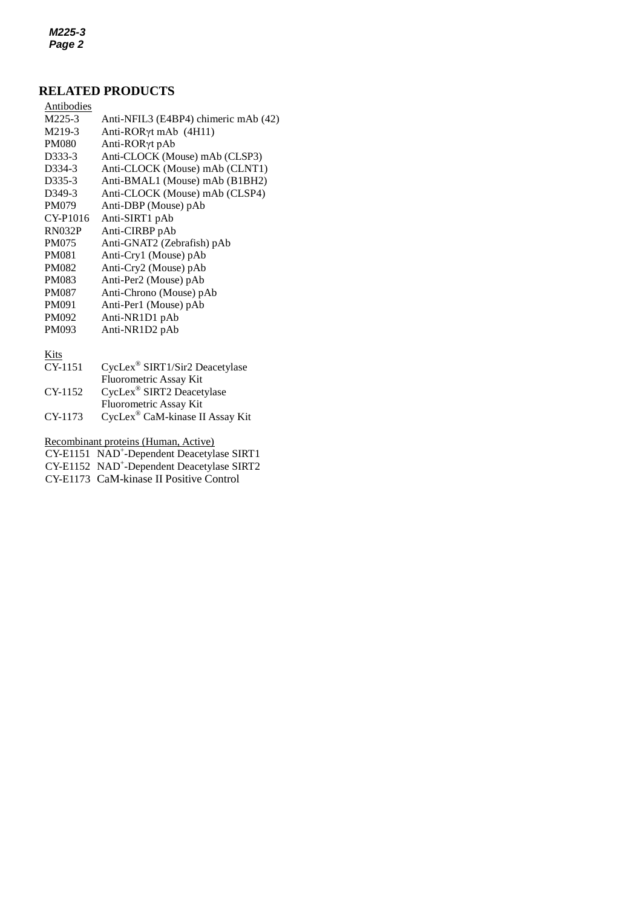*M225-3 Page 2*

## **RELATED PRODUCTS**

| Antibodies          |                                      |
|---------------------|--------------------------------------|
| M225-3              | Anti-NFIL3 (E4BP4) chimeric mAb (42) |
| M219-3              | Anti-RORγt mAb (4H11)                |
| <b>PM080</b>        | Anti-RORyt pAb                       |
| D333-3              | Anti-CLOCK (Mouse) mAb (CLSP3)       |
| D334-3              | Anti-CLOCK (Mouse) mAb (CLNT1)       |
| D335-3              | Anti-BMAL1 (Mouse) mAb (B1BH2)       |
| D <sub>349</sub> -3 | Anti-CLOCK (Mouse) mAb (CLSP4)       |
| <b>PM079</b>        | Anti-DBP (Mouse) pAb                 |
| CY-P1016            | Anti-SIRT1 pAb                       |
| <b>RN032P</b>       | Anti-CIRBP pAb                       |
| <b>PM075</b>        | Anti-GNAT2 (Zebrafish) pAb           |
| <b>PM081</b>        | Anti-Cry1 (Mouse) pAb                |
| <b>PM082</b>        | Anti-Cry2 (Mouse) pAb                |
| <b>PM083</b>        | Anti-Per2 (Mouse) pAb                |
| <b>PM087</b>        | Anti-Chrono (Mouse) pAb              |
| <b>PM091</b>        | Anti-Per1 (Mouse) pAb                |
| <b>PM092</b>        | Anti-NR1D1 pAb                       |
| PM093               | Anti-NR1D2 pAb                       |
|                     |                                      |

Kits

| CY-1151   | CycLex <sup>®</sup> SIRT1/Sir2 Deacetylase |
|-----------|--------------------------------------------|
|           | Fluorometric Assay Kit                     |
| $CY-1152$ | CycLex® SIRT2 Deacetylase                  |
|           | <b>Fluorometric Assay Kit</b>              |
| CY-1173   | CycLex® CaM-kinase II Assay Kit            |

Recombinant proteins (Human, Active)

CY-E1151 NAD<sup>+</sup>[-Dependent Deacetylase SIRT1](http://ruo.mbl.co.jp/dtl/P/CY-E1151/)

CY-E1152 NAD<sup>+</sup>[-Dependent Deacetylase SIRT2](http://ruo.mbl.co.jp/dtl/P/CY-E1152/)

CY-E1173 CaM-kinase II Positive Control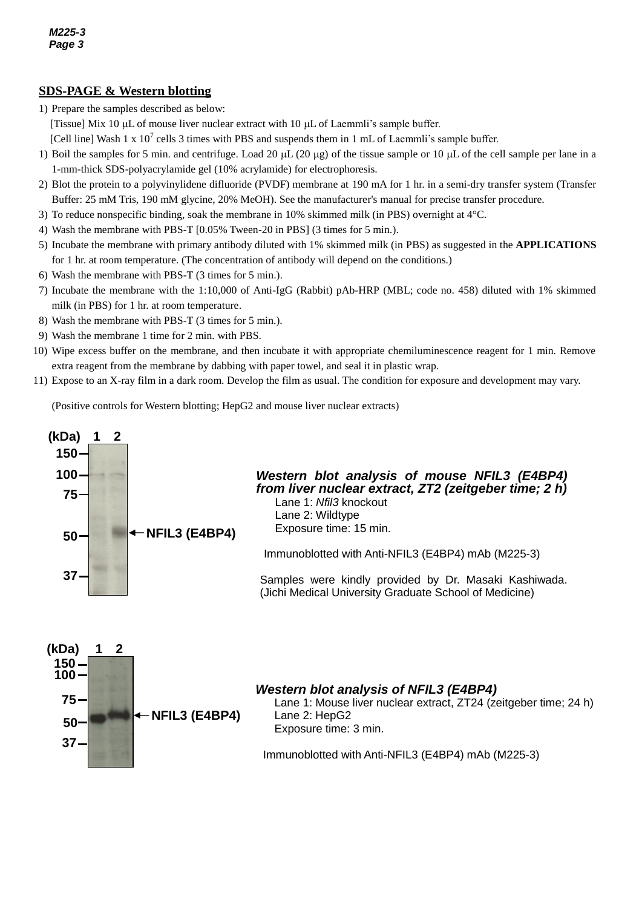## **SDS-PAGE & Western blotting**

- 1) Prepare the samples described as below:
- [Tissue] Mix 10  $\mu$ L of mouse liver nuclear extract with 10  $\mu$ L of Laemmli's sample buffer.
	- [Cell line] Wash 1 x  $10^7$  cells 3 times with PBS and suspends them in 1 mL of Laemmli's sample buffer.
- 1) Boil the samples for 5 min. and centrifuge. Load 20  $\mu$ L (20  $\mu$ g) of the tissue sample or 10  $\mu$ L of the cell sample per lane in a 1-mm-thick SDS-polyacrylamide gel (10% acrylamide) for electrophoresis.
- 2) Blot the protein to a polyvinylidene difluoride (PVDF) membrane at 190 mA for 1 hr. in a semi-dry transfer system (Transfer Buffer: 25 mM Tris, 190 mM glycine, 20% MeOH). See the manufacturer's manual for precise transfer procedure.
- 3) To reduce nonspecific binding, soak the membrane in 10% skimmed milk (in PBS) overnight at 4°C.
- 4) Wash the membrane with PBS-T [0.05% Tween-20 in PBS] (3 times for 5 min.).
- 5) Incubate the membrane with primary antibody diluted with 1% skimmed milk (in PBS) as suggested in the **APPLICATIONS** for 1 hr. at room temperature. (The concentration of antibody will depend on the conditions.)
- 6) Wash the membrane with PBS-T (3 times for 5 min.).
- 7) Incubate the membrane with the 1:10,000 of Anti-IgG (Rabbit) pAb-HRP (MBL; code no. 458) diluted with 1% skimmed milk (in PBS) for 1 hr. at room temperature.
- 8) Wash the membrane with PBS-T (3 times for 5 min.).
- 9) Wash the membrane 1 time for 2 min. with PBS.
- 10) Wipe excess buffer on the membrane, and then incubate it with appropriate chemiluminescence reagent for 1 min. Remove extra reagent from the membrane by dabbing with paper towel, and seal it in plastic wrap.
- 11) Expose to an X-ray film in a dark room. Develop the film as usual. The condition for exposure and development may vary.

(Positive controls for Western blotting; HepG2 and mouse liver nuclear extracts)

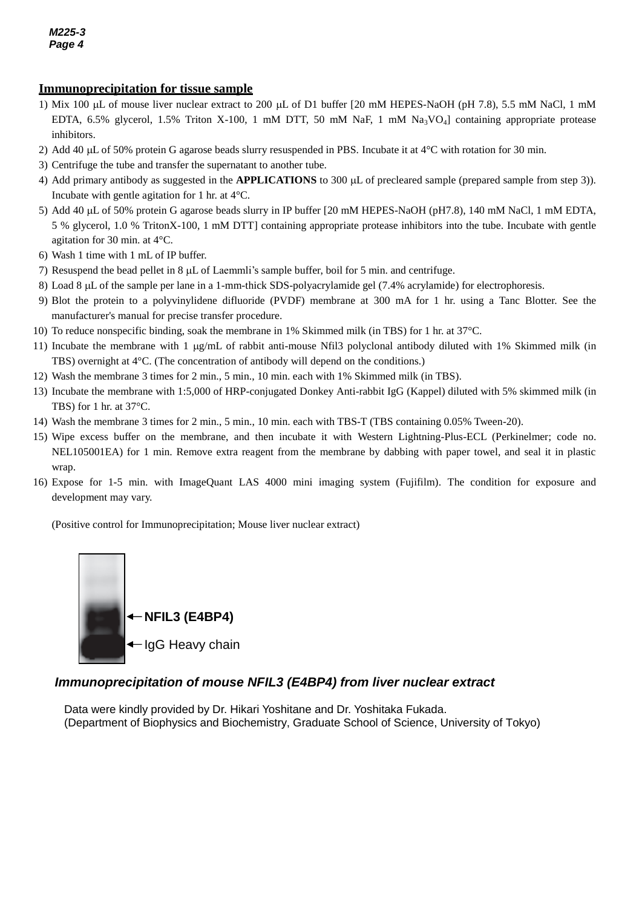#### *g* **<u>Immunoprecipitation for tissue sample</u>**

- EDTA, 6.5% glycerol, 1.5% Triton X-100, 1 mM DTT, 50 mM NaF, 1 mM Na<sub>3</sub>VO<sub>4</sub>] containing appropriate protease 1) Mix 100  $\mu$ L of mouse liver nuclear extract to 200  $\mu$ L of D1 buffer [20 mM HEPES-NaOH (pH 7.8), 5.5 mM NaCl, 1 mM inhibitors.
- 2) Add 40  $\mu$ L of 50% protein G agarose beads slurry resuspended in PBS. Incubate it at 4 $\degree$ C with rotation for 30 min.
- 3) Centrifuge the tube and transfer the supernatant to another tube.
- 4) Add primary antibody as suggested in the **APPLICATIONS** to 300  $\mu$ L of precleared sample (prepared sample from step 3)). Incubate with gentle agitation for 1 hr. at 4°C.
- 5) Add 40 µL of 50% protein G agarose beads slurry in IP buffer [20 mM HEPES-NaOH (pH7.8), 140 mM NaCl, 1 mM EDTA, 5 % glycerol, 1.0 % TritonX-100, 1 mM DTT] containing appropriate protease inhibitors into the tube. Incubate with gentle agitation for 30 min. at 4°C.
- 6) Wash 1 time with 1 mL of IP buffer.
- 7) Resuspend the bead pellet in 8  $\mu$ L of Laemmli's sample buffer, boil for 5 min. and centrifuge.
- 8) Load 8 µL of the sample per lane in a 1-mm-thick SDS-polyacrylamide gel (7.4% acrylamide) for electrophoresis.
- 9) Blot the protein to a polyvinylidene difluoride (PVDF) membrane at 300 mA for 1 hr. using a Tanc Blotter. See the manufacturer's manual for precise transfer procedure.
- 10) To reduce nonspecific binding, soak the membrane in 1% Skimmed milk (in TBS) for 1 hr. at 37°C.
- 11) Incubate the membrane with 1  $\mu$ g/mL of rabbit anti-mouse Nfil3 polyclonal antibody diluted with 1% Skimmed milk (in TBS) overnight at 4°C. (The concentration of antibody will depend on the conditions.)
- 12) Wash the membrane 3 times for 2 min., 5 min., 10 min. each with 1% Skimmed milk (in TBS).
- 13) Incubate the membrane with 1:5,000 of HRP-conjugated Donkey Anti-rabbit IgG (Kappel) diluted with 5% skimmed milk (in TBS) for 1 hr. at 37°C.
- 14) Wash the membrane 3 times for 2 min., 5 min., 10 min. each with TBS-T (TBS containing 0.05% Tween-20).
- 15) Wipe excess buffer on the membrane, and then incubate it with Western Lightning-Plus-ECL (Perkinelmer; code no. NEL105001EA) for 1 min. Remove extra reagent from the membrane by dabbing with paper towel, and seal it in plastic wrap.
- 16) Expose for 1-5 min. with ImageQuant LAS 4000 mini imaging system (Fujifilm). The condition for exposure and development may vary.

(Positive control for Immunoprecipitation; Mouse liver nuclear extract)



## *Immunoprecipitation of mouse NFIL3 (E4BP4) from liver nuclear extract*

Data were kindly provided by Dr. Hikari Yoshitane and Dr. Yoshitaka Fukada. (Department of Biophysics and Biochemistry, Graduate School of Science, University of Tokyo)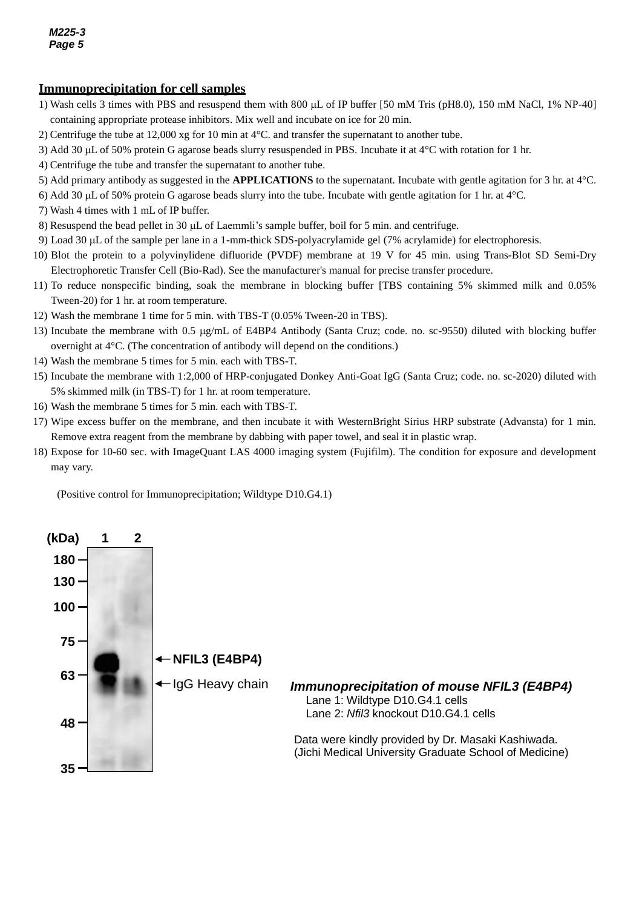#### *g* **<u>Immunoprecipitation for cell samples</u>**

- containing appropriate protease inhibitors. Mix well and incubate on ice for 20 min. 1) Wash cells 3 times with PBS and resuspend them with 800  $\mu$ L of IP buffer [50 mM Tris (pH8.0), 150 mM NaCl, 1% NP-40]
- 2) Centrifuge the tube at 12,000 xg for 10 min at 4°C. and transfer the supernatant to another tube.
- 3) Add 30  $\mu$ L of 50% protein G agarose beads slurry resuspended in PBS. Incubate it at 4<sup>°</sup>C with rotation for 1 hr.
- 4) Centrifuge the tube and transfer the supernatant to another tube.
- 5) Add primary antibody as suggested in the **APPLICATIONS** to the supernatant. Incubate with gentle agitation for 3 hr. at 4°C.
- 6) Add 30  $\mu$ L of 50% protein G agarose beads slurry into the tube. Incubate with gentle agitation for 1 hr. at 4 $\degree$ C.
- 7) Wash 4 times with 1 mL of IP buffer.
- 8) Resuspend the bead pellet in 30 µL of Laemmli's sample buffer, boil for 5 min. and centrifuge.
- 9) Load 30 L of the sample per lane in a 1-mm-thick SDS-polyacrylamide gel (7% acrylamide) for electrophoresis.
- 10) Blot the protein to a polyvinylidene difluoride (PVDF) membrane at 19 V for 45 min. using Trans*-*Blot SD Semi-Dry Electrophoretic Transfer Cell (Bio-Rad). See the manufacturer's manual for precise transfer procedure.
- 11) To reduce nonspecific binding, soak the membrane in blocking buffer [TBS containing 5% skimmed milk and 0.05% Tween-20) for 1 hr. at room temperature.
- 12) Wash the membrane 1 time for 5 min. with TBS-T (0.05% Tween-20 in TBS).
- 13) Incubate the membrane with 0.5 g/mL of E4BP4 Antibody (Santa Cruz; code. no. sc-9550) diluted with blocking buffer overnight at 4°C. (The concentration of antibody will depend on the conditions.)
- 14) Wash the membrane 5 times for 5 min. each with TBS-T.
- 15) Incubate the membrane with 1:2,000 of HRP-conjugated Donkey Anti-Goat IgG (Santa Cruz; code. no. sc-2020) diluted with 5% skimmed milk (in TBS-T) for 1 hr. at room temperature.
- 16) Wash the membrane 5 times for 5 min. each with TBS-T.
- 17) Wipe excess buffer on the membrane, and then incubate it with WesternBright Sirius HRP substrate (Advansta) for 1 min. Remove extra reagent from the membrane by dabbing with paper towel, and seal it in plastic wrap.
- 18) Expose for 10-60 sec. with ImageQuant LAS 4000 imaging system (Fujifilm). The condition for exposure and development may vary.

(Positive control for Immunoprecipitation; Wildtype D10.G4.1)

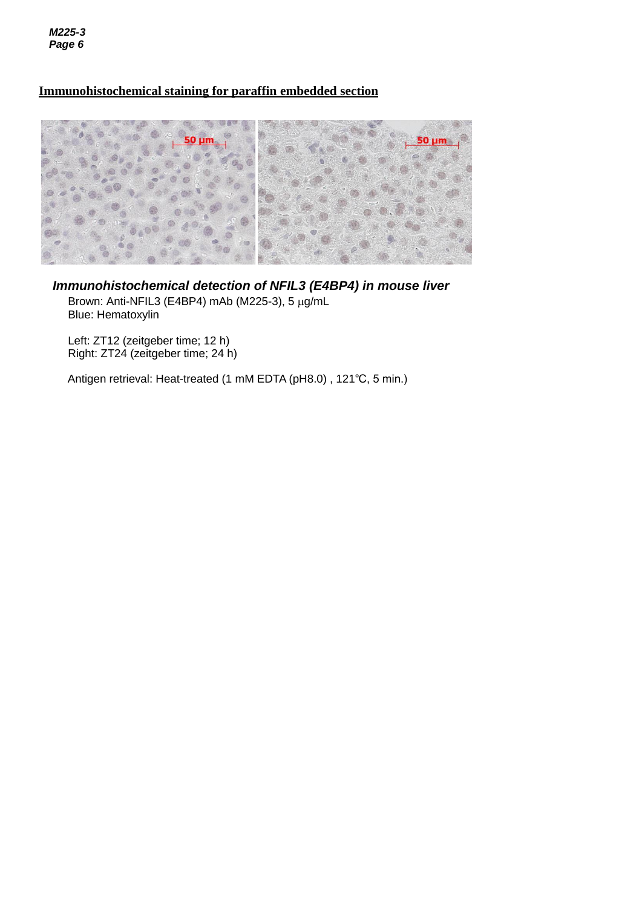*M225-3 Page 6*

# **Immunohistochemical staining for paraffin embedded section**



*Immunohistochemical detection of NFIL3 (E4BP4) in mouse liver* Brown: Anti-NFIL3 (E4BP4) mAb (M225-3),  $5 \mu g/mL$ 

Blue: Hematoxylin

Left: ZT12 (zeitgeber time; 12 h) Right: ZT24 (zeitgeber time; 24 h)

Antigen retrieval: Heat-treated (1 mM EDTA (pH8.0) , 121℃, 5 min.)